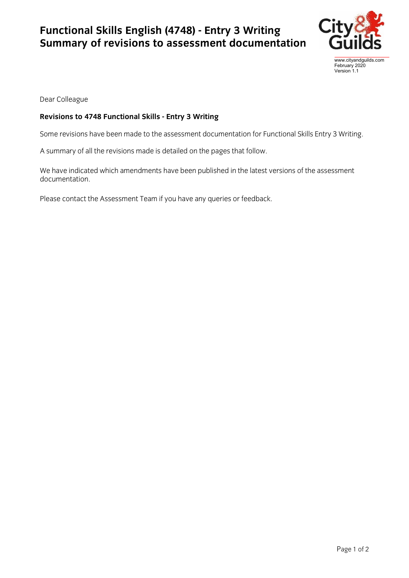## **Functional Skills English (4748) - Entry 3 Writing Summary of revisions to assessment documentation**



www.cityandguilds.com February 2020 Version 1.1

Dear Colleague

## **Revisions to 4748 Functional Skills - Entry 3 Writing**

Some revisions have been made to the assessment documentation for Functional Skills Entry 3 Writing.

A summary of all the revisions made is detailed on the pages that follow.

We have indicated which amendments have been published in the latest versions of the assessment documentation.

Please contact the Assessment Team if you have any queries or feedback.